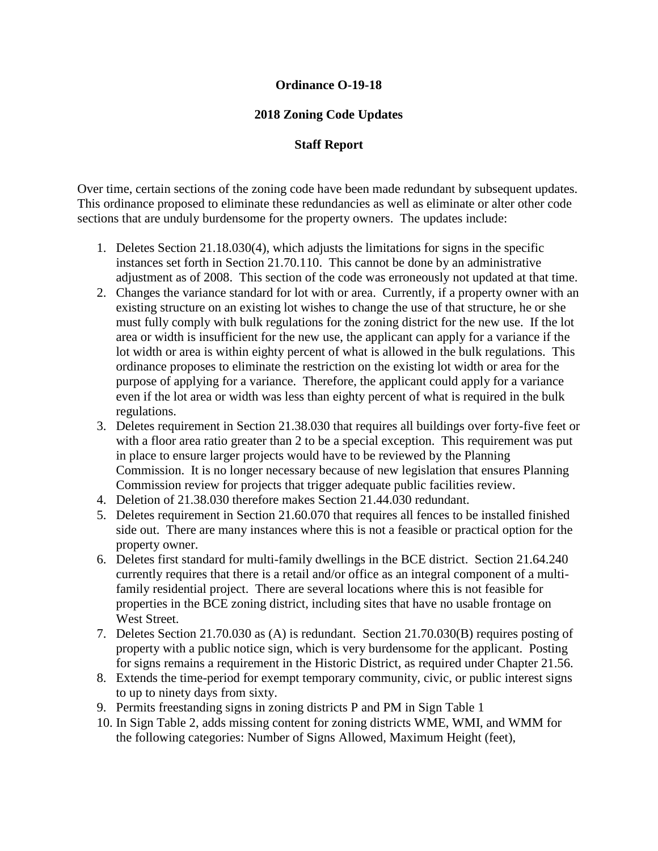## **Ordinance O-19-18**

## **2018 Zoning Code Updates**

## **Staff Report**

Over time, certain sections of the zoning code have been made redundant by subsequent updates. This ordinance proposed to eliminate these redundancies as well as eliminate or alter other code sections that are unduly burdensome for the property owners. The updates include:

- 1. Deletes Section 21.18.030(4), which adjusts the limitations for signs in the specific instances set forth in Section 21.70.110. This cannot be done by an administrative adjustment as of 2008. This section of the code was erroneously not updated at that time.
- 2. Changes the variance standard for lot with or area. Currently, if a property owner with an existing structure on an existing lot wishes to change the use of that structure, he or she must fully comply with bulk regulations for the zoning district for the new use. If the lot area or width is insufficient for the new use, the applicant can apply for a variance if the lot width or area is within eighty percent of what is allowed in the bulk regulations. This ordinance proposes to eliminate the restriction on the existing lot width or area for the purpose of applying for a variance. Therefore, the applicant could apply for a variance even if the lot area or width was less than eighty percent of what is required in the bulk regulations.
- 3. Deletes requirement in Section 21.38.030 that requires all buildings over forty-five feet or with a floor area ratio greater than 2 to be a special exception. This requirement was put in place to ensure larger projects would have to be reviewed by the Planning Commission. It is no longer necessary because of new legislation that ensures Planning Commission review for projects that trigger adequate public facilities review.
- 4. Deletion of 21.38.030 therefore makes Section 21.44.030 redundant.
- 5. Deletes requirement in Section 21.60.070 that requires all fences to be installed finished side out. There are many instances where this is not a feasible or practical option for the property owner.
- 6. Deletes first standard for multi-family dwellings in the BCE district. Section 21.64.240 currently requires that there is a retail and/or office as an integral component of a multifamily residential project. There are several locations where this is not feasible for properties in the BCE zoning district, including sites that have no usable frontage on West Street.
- 7. Deletes Section 21.70.030 as (A) is redundant. Section 21.70.030(B) requires posting of property with a public notice sign, which is very burdensome for the applicant. Posting for signs remains a requirement in the Historic District, as required under Chapter 21.56.
- 8. Extends the time-period for exempt temporary community, civic, or public interest signs to up to ninety days from sixty.
- 9. Permits freestanding signs in zoning districts P and PM in Sign Table 1
- 10. In Sign Table 2, adds missing content for zoning districts WME, WMI, and WMM for the following categories: Number of Signs Allowed, Maximum Height (feet),